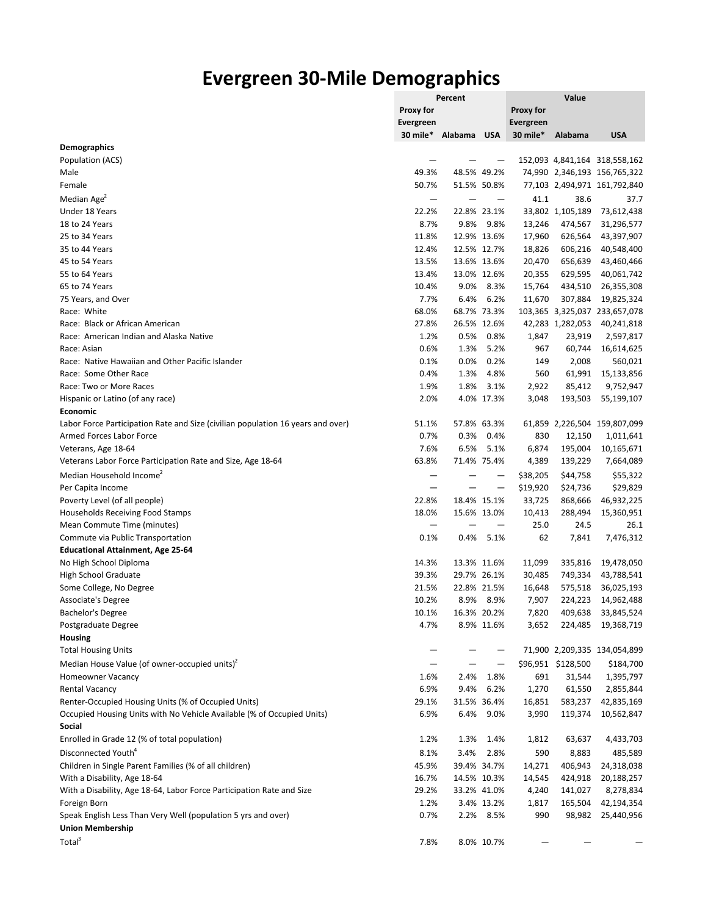## **Evergreen 30-Mile Demographics**

|                                                                                 | Percent          |                      |            | Value            |                    |                               |  |
|---------------------------------------------------------------------------------|------------------|----------------------|------------|------------------|--------------------|-------------------------------|--|
|                                                                                 | Proxy for        |                      |            | Proxy for        |                    |                               |  |
|                                                                                 | <b>Evergreen</b> |                      |            | <b>Evergreen</b> |                    |                               |  |
|                                                                                 |                  | 30 mile* Alabama USA |            | 30 mile*         | Alabama            | <b>USA</b>                    |  |
| <b>Demographics</b>                                                             |                  |                      |            |                  |                    |                               |  |
| Population (ACS)                                                                |                  |                      |            |                  |                    | 152,093 4,841,164 318,558,162 |  |
| Male                                                                            | 49.3%            | 48.5% 49.2%          |            |                  |                    | 74,990 2,346,193 156,765,322  |  |
| Female                                                                          | 50.7%            | 51.5% 50.8%          |            |                  |                    | 77,103 2,494,971 161,792,840  |  |
| Median Age <sup>2</sup>                                                         |                  |                      |            | 41.1             | 38.6               | 37.7                          |  |
| Under 18 Years                                                                  | 22.2%            | 22.8% 23.1%          |            |                  | 33,802 1,105,189   | 73,612,438                    |  |
| 18 to 24 Years                                                                  | 8.7%             | 9.8%                 | 9.8%       | 13,246           | 474,567            | 31,296,577                    |  |
| 25 to 34 Years                                                                  | 11.8%            | 12.9% 13.6%          |            | 17,960           | 626,564            | 43,397,907                    |  |
| 35 to 44 Years                                                                  | 12.4%            | 12.5% 12.7%          |            | 18,826           | 606,216            | 40,548,400                    |  |
| 45 to 54 Years                                                                  | 13.5%            | 13.6% 13.6%          |            | 20,470           | 656,639            | 43,460,466                    |  |
| 55 to 64 Years                                                                  | 13.4%            | 13.0% 12.6%          |            | 20,355           | 629,595            | 40,061,742                    |  |
| 65 to 74 Years                                                                  | 10.4%            | 9.0%                 | 8.3%       | 15,764           | 434,510            | 26,355,308                    |  |
| 75 Years, and Over                                                              | 7.7%             | 6.4%                 | 6.2%       | 11,670           | 307,884            | 19,825,324                    |  |
| Race: White                                                                     | 68.0%            | 68.7% 73.3%          |            |                  |                    | 103,365 3,325,037 233,657,078 |  |
| Race: Black or African American                                                 | 27.8%            | 26.5% 12.6%          |            |                  | 42,283 1,282,053   | 40,241,818                    |  |
| Race: American Indian and Alaska Native                                         | 1.2%             | 0.5%                 | 0.8%       | 1,847            | 23,919             | 2,597,817                     |  |
| Race: Asian                                                                     | 0.6%             | 1.3%                 | 5.2%       | 967              | 60,744             | 16,614,625                    |  |
| Race: Native Hawaiian and Other Pacific Islander                                | 0.1%             | 0.0%                 | 0.2%       | 149              | 2,008              | 560,021                       |  |
| Race: Some Other Race                                                           | 0.4%             | 1.3%                 | 4.8%       | 560              | 61,991             | 15,133,856                    |  |
| Race: Two or More Races                                                         | 1.9%             | 1.8%                 | 3.1%       | 2,922            | 85,412             | 9,752,947                     |  |
| Hispanic or Latino (of any race)                                                | 2.0%             |                      | 4.0% 17.3% | 3,048            | 193,503            | 55,199,107                    |  |
| <b>Economic</b>                                                                 |                  |                      |            |                  |                    |                               |  |
| Labor Force Participation Rate and Size (civilian population 16 years and over) | 51.1%            | 57.8% 63.3%          |            |                  |                    | 61,859 2,226,504 159,807,099  |  |
| Armed Forces Labor Force                                                        | 0.7%             | 0.3%                 | 0.4%       | 830              | 12,150             | 1,011,641                     |  |
| Veterans, Age 18-64                                                             | 7.6%             | 6.5%                 | 5.1%       | 6,874            | 195,004            | 10,165,671                    |  |
| Veterans Labor Force Participation Rate and Size, Age 18-64                     | 63.8%            | 71.4% 75.4%          |            | 4,389            | 139,229            | 7,664,089                     |  |
| Median Household Income <sup>2</sup>                                            |                  |                      |            | \$38,205         | \$44,758           | \$55,322                      |  |
| Per Capita Income                                                               |                  |                      | -          | \$19,920         | \$24,736           | \$29,829                      |  |
| Poverty Level (of all people)                                                   | 22.8%            | 18.4% 15.1%          |            | 33,725           | 868,666            | 46,932,225                    |  |
| Households Receiving Food Stamps                                                | 18.0%            | 15.6% 13.0%          |            | 10,413           | 288,494            | 15,360,951                    |  |
| Mean Commute Time (minutes)                                                     |                  |                      |            | 25.0             | 24.5               | 26.1                          |  |
| Commute via Public Transportation                                               | 0.1%             | 0.4%                 | 5.1%       | 62               | 7,841              | 7,476,312                     |  |
| <b>Educational Attainment, Age 25-64</b>                                        |                  |                      |            |                  |                    |                               |  |
| No High School Diploma                                                          | 14.3%            | 13.3% 11.6%          |            | 11,099           | 335,816            | 19,478,050                    |  |
| High School Graduate                                                            | 39.3%            | 29.7% 26.1%          |            | 30,485           | 749,334            | 43,788,541                    |  |
| Some College, No Degree                                                         | 21.5%            | 22.8% 21.5%          |            | 16,648           | 575,518            | 36,025,193                    |  |
| Associate's Degree                                                              | 10.2%            | 8.9%                 | 8.9%       | 7,907            | 224,223            | 14,962,488                    |  |
| Bachelor's Degree                                                               | 10.1%            | 16.3% 20.2%          |            | 7,820            |                    | 409,638 33,845,524            |  |
| Postgraduate Degree                                                             | 4.7%             |                      | 8.9% 11.6% | 3,652            |                    | 224,485 19,368,719            |  |
| <b>Housing</b>                                                                  |                  |                      |            |                  |                    |                               |  |
| <b>Total Housing Units</b>                                                      |                  |                      | —          |                  |                    | 71,900 2,209,335 134,054,899  |  |
| Median House Value (of owner-occupied units) <sup>2</sup>                       |                  |                      |            |                  | \$96,951 \$128,500 | \$184,700                     |  |
| <b>Homeowner Vacancy</b>                                                        | 1.6%             | 2.4%                 | 1.8%       | 691              | 31,544             | 1,395,797                     |  |
| <b>Rental Vacancy</b>                                                           | 6.9%             | 9.4%                 | 6.2%       | 1,270            | 61,550             | 2,855,844                     |  |
| Renter-Occupied Housing Units (% of Occupied Units)                             | 29.1%            | 31.5% 36.4%          |            | 16,851           | 583,237            | 42,835,169                    |  |
| Occupied Housing Units with No Vehicle Available (% of Occupied Units)          | 6.9%             | 6.4%                 | 9.0%       | 3,990            | 119,374            | 10,562,847                    |  |
| Social                                                                          |                  |                      |            |                  |                    |                               |  |
| Enrolled in Grade 12 (% of total population)                                    | 1.2%             | 1.3%                 | 1.4%       | 1,812            | 63,637             | 4,433,703                     |  |
| Disconnected Youth <sup>4</sup>                                                 | 8.1%             | 3.4%                 | 2.8%       | 590              | 8,883              | 485,589                       |  |
| Children in Single Parent Families (% of all children)                          | 45.9%            | 39.4% 34.7%          |            | 14,271           | 406,943            | 24,318,038                    |  |
| With a Disability, Age 18-64                                                    | 16.7%            | 14.5% 10.3%          |            | 14,545           | 424,918            | 20,188,257                    |  |
| With a Disability, Age 18-64, Labor Force Participation Rate and Size           | 29.2%            | 33.2% 41.0%          |            | 4,240            | 141,027            | 8,278,834                     |  |
| Foreign Born                                                                    | 1.2%             |                      | 3.4% 13.2% | 1,817            | 165,504            | 42,194,354                    |  |
| Speak English Less Than Very Well (population 5 yrs and over)                   | 0.7%             |                      | 2.2% 8.5%  | 990              |                    | 98,982 25,440,956             |  |
| <b>Union Membership</b>                                                         |                  |                      |            |                  |                    |                               |  |
| Total <sup>3</sup>                                                              | 7.8%             |                      |            |                  |                    |                               |  |
|                                                                                 |                  |                      | 8.0% 10.7% |                  |                    |                               |  |